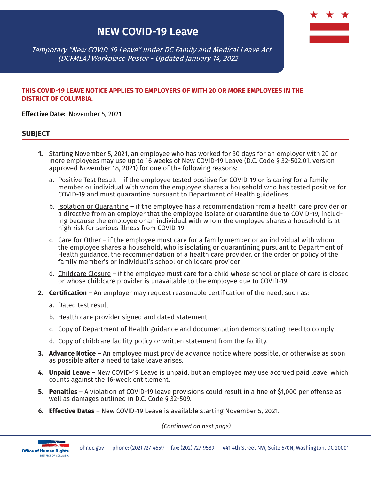# **NEW COVID-19 Leave**



 - Temporary "New COVID-19 Leave" under DC Family and Medical Leave Act (DCFMLA) Workplace Poster - Updated January 14, 2022

#### **THIS COVID-19 LEAVE NOTICE APPLIES TO EMPLOYERS OF WITH 20 OR MORE EMPLOYEES IN THE DISTRICT OF COLUMBIA.**

**Effective Date:** November 5, 2021

#### **SUBJECT**

- **1.** Starting November 5, 2021, an employee who has worked for 30 days for an employer with 20 or more employees may use up to 16 weeks of New COVID-19 Leave (D.C. Code § 32-502.01, version approved November 18, 2021) for one of the following reasons:
	- a. Positive Test Result if the employee tested positive for COVID-19 or is caring for a family member or individual with whom the employee shares a household who has tested positive for COVID-19 and must quarantine pursuant to Department of Health guidelines
	- b. Isolation or Quarantine if the employee has a recommendation from a health care provider or a directive from an employer that the employee isolate or quarantine due to COVID-19, including because the employee or an individual with whom the employee shares a household is at high risk for serious illness from COVID-19
	- c. Care for Other if the employee must care for a family member or an individual with whom the employee shares a household, who is isolating or quarantining pursuant to Department of Health guidance, the recommendation of a health care provider, or the order or policy of the family member's or individual's school or childcare provider
	- d. Childcare Closure if the employee must care for a child whose school or place of care is closed or whose childcare provider is unavailable to the employee due to COVID-19.
- **2. Certification** An employer may request reasonable certification of the need, such as:
	- a. Dated test result
	- b. Health care provider signed and dated statement
	- c. Copy of Department of Health guidance and documentation demonstrating need to comply
	- d. Copy of childcare facility policy or written statement from the facility.
- **3. Advance Notice** An employee must provide advance notice where possible, or otherwise as soon as possible after a need to take leave arises.
- **4. Unpaid Leave** New COVID-19 Leave is unpaid, but an employee may use accrued paid leave, which counts against the 16-week entitlement.
- **5. Penalties** A violation of COVID-19 leave provisions could result in a fine of \$1,000 per offense as well as damages outlined in D.C. Code § 32-509.
- **6. Effective Dates** New COVID-19 Leave is available starting November 5, 2021.

*(Continued on next page)*